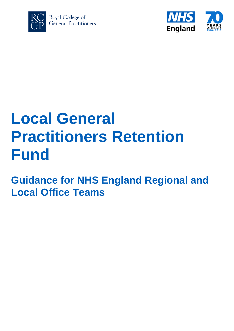



# **Local General Practitioners Retention Fund**

**Guidance for NHS England Regional and Local Office Teams**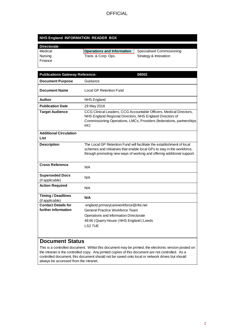#### **NHS England INFORMATION READER BOX**

| <b>Directorate</b> |                                   |                           |
|--------------------|-----------------------------------|---------------------------|
| Medical            | <b>Operations and Information</b> | Specialised Commissioning |
| Nursing            | Trans. & Corp. Ops.               | Strategy & Innovation     |
| l Finance          |                                   |                           |

| <b>Publications Gateway Reference:</b><br>08002 |                                                                                                                                                                                                                             |
|-------------------------------------------------|-----------------------------------------------------------------------------------------------------------------------------------------------------------------------------------------------------------------------------|
| <b>Document Purpose</b>                         | Guidance                                                                                                                                                                                                                    |
| <b>Document Name</b>                            | <b>Local GP Retention Fund</b>                                                                                                                                                                                              |
| Author                                          | <b>NHS England</b>                                                                                                                                                                                                          |
| <b>Publication Date</b>                         | 29 May 2018                                                                                                                                                                                                                 |
| <b>Target Audience</b>                          | CCG Clinical Leaders, CCG Accountable Officers, Medical Directors,<br>NHS England Regional Directors, NHS England Directors of<br>Commissioning Operations, LMCs, Providers (federations, partnerships<br>etc)              |
| <b>Additional Circulation</b><br>List           |                                                                                                                                                                                                                             |
| <b>Description</b>                              | The Local GP Retention Fund will facilitate the establishment of local<br>schemes and initiatives that enable local GPs to stay in the workforce,<br>through promoting new ways of working and offering additional support. |
| <b>Cross Reference</b>                          | N/A                                                                                                                                                                                                                         |
| <b>Superseded Docs</b><br>(if applicable)       | N/A                                                                                                                                                                                                                         |
| <b>Action Required</b>                          | N/A                                                                                                                                                                                                                         |
| <b>Timing / Deadlines</b><br>(if applicable)    | N/A                                                                                                                                                                                                                         |
| <b>Contact Details for</b>                      | england.primarycareworkforce@nhs.net                                                                                                                                                                                        |
| further information                             | General Practice Workforce Team                                                                                                                                                                                             |
|                                                 | Operations and Information Directorate                                                                                                                                                                                      |
|                                                 | 4E46   Quarry House   NHS England   Leeds                                                                                                                                                                                   |
|                                                 | LS27UE                                                                                                                                                                                                                      |

### **Document Status**

0

This is a controlled document. Whilst this document may be printed, the electronic version posted on the intranet is the controlled copy. Any printed copies of this document are not controlled. As a controlled document, this document should not be saved onto local or network drives but should always be accessed from the intranet.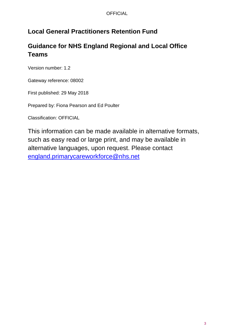## **Local General Practitioners Retention Fund**

## **Guidance for NHS England Regional and Local Office Teams**

Version number: 1.2

Gateway reference: 08002

First published: 29 May 2018

Prepared by: Fiona Pearson and Ed Poulter

Classification: OFFICIAL

This information can be made available in alternative formats, such as easy read or large print, and may be available in alternative languages, upon request. Please contact [england.primarycareworkforce@nhs.net](mailto:england.primarycareworkforce@nhs.net)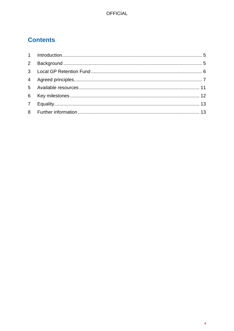# **Contents**

<span id="page-3-0"></span>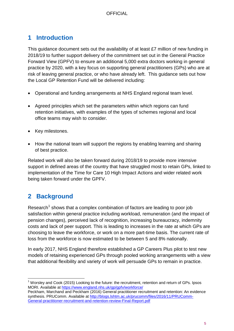## <span id="page-4-0"></span>**1 Introduction**

This guidance document sets out the availability of at least £7 million of new funding in 2018/19 to further support delivery of the commitment set out in the General Practice Forward View (GPFV) to ensure an additional 5,000 extra doctors working in general practice by 2020, with a key focus on supporting general practitioners (GPs) who are at risk of leaving general practice, or who have already left. This guidance sets out how the Local GP Retention Fund will be delivered including:

- Operational and funding arrangements at NHS England regional team level.
- Agreed principles which set the parameters within which regions can fund retention initiatives, with examples of the types of schemes regional and local office teams may wish to consider.
- Key milestones.
- How the national team will support the regions by enabling learning and sharing of best practice.

Related work will also be taken forward during 2018/19 to provide more intensive support in defined areas of the country that have struggled most to retain GPs, linked to implementation of the Time for Care 10 High Impact Actions and wider related work being taken forward under the GPFV.

## <span id="page-4-1"></span>**2 Background**

Research<sup>[1](#page-3-0)</sup> shows that a complex combination of factors are leading to poor job satisfaction within general practice including workload, remuneration (and the impact of pension changes), perceived lack of recognition, increasing bureaucracy, indemnity costs and lack of peer support. This is leading to increases in the rate at which GPs are choosing to leave the workforce, or work on a more part-time basis. The current rate of loss from the workforce is now estimated to be between 5 and 8% nationally.

In early 2017, NHS England therefore established a GP Careers Plus pilot to test new models of retaining experienced GPs through pooled working arrangements with a view that additional flexibility and variety of work will persuade GPs to remain in practice.

 $1$  Worsley and Cook (2015) Looking to the future: the recruitment, retention and return of GPs. Ipsos MORI. Available at<https://www.england.nhs.uk/gp/gpfv/workforce/>

Peckham, Marchand and Peckham (2016) General practitioner recruitment and retention: An evidence synthesis. PRUComm. Available at [http://blogs.lshtm.ac.uk/prucomm/files/2016/11/PRUComm-](http://blogs.lshtm.ac.uk/prucomm/files/2016/11/PRUComm-General-practitioner-recruitment-and-retention-review-Final-Report.pdf)[General-practitioner-recruitment-and-retention-review-Final-Report.pdf](http://blogs.lshtm.ac.uk/prucomm/files/2016/11/PRUComm-General-practitioner-recruitment-and-retention-review-Final-Report.pdf)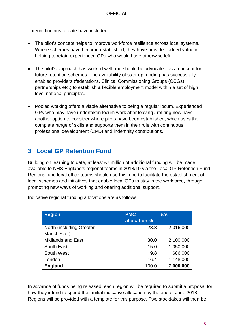Interim findings to date have included:

- The pilot's concept helps to improve workforce resilience across local systems. Where schemes have become established, they have provided added value in helping to retain experienced GPs who would have otherwise left.
- The pilot's approach has worked well and should be advocated as a concept for future retention schemes. The availability of start-up funding has successfully enabled providers (federations, Clinical Commissioning Groups (CCGs), partnerships etc.) to establish a flexible employment model within a set of high level national principles.
- Pooled working offers a viable alternative to being a regular locum. Experienced GPs who may have undertaken locum work after leaving / retiring now have another option to consider where pilots have been established, which uses their complete range of skills and supports them in their role with continuous professional development (CPD) and indemnity contributions.

## <span id="page-5-0"></span>**3 Local GP Retention Fund**

Building on learning to date, at least £7 million of additional funding will be made available to NHS England's regional teams in 2018/19 via the Local GP Retention Fund. Regional and local office teams should use this fund to facilitate the establishment of local schemes and initiatives that enable local GPs to stay in the workforce, through promoting new ways of working and offering additional support.

| <b>Region</b>                   | <b>PMC</b>   | £'s       |
|---------------------------------|--------------|-----------|
|                                 | allocation % |           |
| <b>North (including Greater</b> | 28.8         | 2,016,000 |
| Manchester)                     |              |           |
| <b>Midlands and East</b>        | 30.0         | 2,100,000 |
| South East                      | 15.0         | 1,050,000 |
| South West                      | 9.8          | 686,000   |
| London                          | 16.4         | 1,148,000 |
| <b>England</b>                  | 100.0        | 7,000,000 |

Indicative regional funding allocations are as follows:

In advance of funds being released, each region will be required to submit a proposal for how they intend to spend their initial indicative allocation by the end of June 2018. Regions will be provided with a template for this purpose. Two stocktakes will then be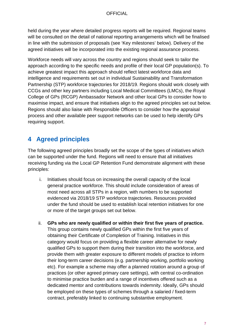held during the year where detailed progress reports will be required. Regional teams will be consulted on the detail of national reporting arrangements which will be finalised in line with the submission of proposals (see 'Key milestones' below). Delivery of the agreed initiatives will be incorporated into the existing regional assurance process.

Workforce needs will vary across the country and regions should seek to tailor the approach according to the specific needs and profile of their local GP population(s). To achieve greatest impact this approach should reflect latest workforce data and intelligence and requirements set out in individual Sustainability and Transformation Partnership (STP) workforce trajectories for 2018/19. Regions should work closely with CCGs and other key partners including Local Medical Committees (LMCs), the Royal College of GPs (RCGP) Ambassador Network and other local GPs to consider how to maximise impact, and ensure that initiatives align to the agreed principles set out below. Regions should also liaise with Responsible Officers to consider how the appraisal process and other available peer support networks can be used to help identify GPs requiring support.

## <span id="page-6-0"></span>**4 Agreed principles**

The following agreed principles broadly set the scope of the types of initiatives which can be supported under the fund. Regions will need to ensure that all initiatives receiving funding via the Local GP Retention Fund demonstrate alignment with these principles:

- i. Initiatives should focus on increasing the overall capacity of the local general practice workforce. This should include consideration of areas of most need across all STPs in a region, with numbers to be supported evidenced via 2018/19 STP workforce trajectories. Resources provided under the fund should be used to establish local retention initiatives for one or more of the target groups set out below.
- ii. **GPs who are newly qualified or within their first five years of practice.** This group contains newly qualified GPs within the first five years of obtaining their Certificate of Completion of Training. Initiatives in this category would focus on providing a flexible career alternative for newly qualified GPs to support them during their transition into the workforce, and provide them with greater exposure to different models of practice to inform their long-term career decisions (e.g. partnership working, portfolio working etc). For example a scheme may offer a planned rotation around a group of practices (or other agreed primary care settings), with central co-ordination to minimise practice burden and a range of incentives offered such as a dedicated mentor and contributions towards indemnity. Ideally, GPs should be employed on these types of schemes through a salaried / fixed-term contract, preferably linked to continuing substantive employment.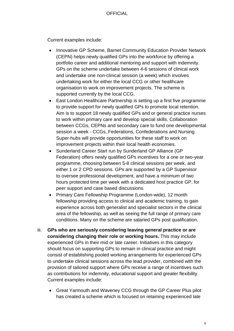Current examples include:

- Innovative GP Scheme, Barnet Community Education Provider Network (CEPN) helps newly qualified GPs into the workforce by offering a portfolio career and additional mentoring and support with indemnity. GPs on the scheme undertake between 4-6 sessions of clinical work and undertake one non-clinical session (a week) which involves undertaking work for either the local CCG or other healthcare organisation to work on improvement projects. The scheme is supported currently by the local CCG.
- East London Healthcare Partnership is setting up a first five programme to provide support for newly qualified GPs to promote local retention. Aim is to support 18 newly qualified GPs and or general practice nurses to work within primary care and develop special skills. Collaboration between CCGs, CEPNs and secondary care to fund one developmental session a week - CCGs, Federations, Confederations and Nursing Super-hubs will provide opportunities for these staff to work on improvement projects within their local health economies.
- Sunderland Career Start run by Sunderland GP Alliance (GP Federation) offers newly qualified GPs incentives for a one or two-year programme, choosing between 5-8 clinical sessions per week, and either 1 or 2 CPD sessions. GPs are supported by a GP Supervisor to oversee professional development, and have a minimum of two hours protected time per week with a dedicated host practice GP, for peer support and case based discussions.
- Primary Care Fellowship Programme (London-wide), 12 month fellowship providing access to clinical and academic training, to gain experience across both generalist and specialist sectors in the clinical area of the fellowship, as well as seeing the full range of primary care conditions. Many on the scheme are salaried GPs post qualification.
- iii. **GPs who are seriously considering leaving general practice or are considering changing their role or working hours.** This may include experienced GPs in their mid or late career. Initiatives in this category should focus on supporting GPs to remain in clinical practice and might consist of establishing pooled working arrangements for experienced GPs to undertake clinical sessions across the lead provider, combined with the provision of tailored support where GPs receive a range of incentives such as contributions for indemnity, educational support and greater flexibility. Current examples include:
	- Great Yarmouth and Waveney CCG through the GP Career Plus pilot has created a scheme which is focused on retaining experienced late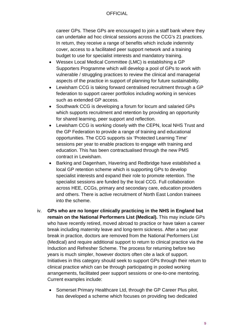career GPs. These GPs are encouraged to join a staff bank where they can undertake ad hoc clinical sessions across the CCG's 21 practices. In return, they receive a range of benefits which include indemnity cover, access to a facilitated peer support network and a training budget to use for specialist interests and mandatory training.

- Wessex Local Medical Committee (LMC) is establishing a GP Supporters Programme which will develop a pool of GPs to work with vulnerable / struggling practices to review the clinical and managerial aspects of the practice in support of planning for future sustainability.
- Lewisham CCG is taking forward centralised recruitment through a GP federation to support career portfolios including working in services such as extended GP access.
- Southwark CCG is developing a forum for locum and salaried GPs which supports recruitment and retention by providing an opportunity for shared learning, peer support and reflection.
- Lewisham CCG is working closely with the CEPN, local NHS Trust and the GP Federation to provide a range of training and educational opportunities. The CCG supports six 'Protected Learning Time' sessions per year to enable practices to engage with training and education. This has been contractualised through the new PMS contract in Lewisham.
- Barking and Dagenham, Havering and Redbridge have established a local GP retention scheme which is supporting GPs to develop specialist interests and expand their role to promote retention. The specialist sessions are funded by the local CCG. Full collaboration across HEE, CCGs, primary and secondary care, education providers and others. There is active recruitment of North East London trainees into the scheme.
- iv. **GPs who are no longer clinically practicing in the NHS in England but remain on the National Performers List (Medical).** This may include GPs who have recently retired, moved abroad to practice or have taken a career break including maternity leave and long-term sickness. After a two year break in practice, doctors are removed from the National Performers List (Medical) and require additional support to return to clinical practice via the Induction and Refresher Scheme. The process for returning before two years is much simpler, however doctors often cite a lack of support. Initiatives in this category should seek to support GPs through their return to clinical practice which can be through participating in pooled working arrangements, facilitated peer support sessions or one-to-one mentoring. Current examples include:
	- Somerset Primary Healthcare Ltd, through the GP Career Plus pilot, has developed a scheme which focuses on providing two dedicated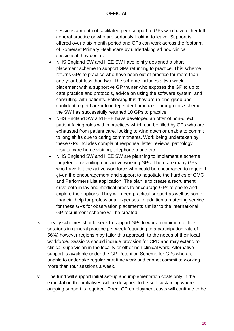sessions a month of facilitated peer support to GPs who have either left general practice or who are seriously looking to leave. Support is offered over a six month period and GPs can work across the footprint of Somerset Primary Healthcare by undertaking ad hoc clinical sessions if they desire.

- NHS England SW and HEE SW have jointly designed a short placement scheme to support GPs returning to practice. This scheme returns GPs to practice who have been out of practice for more than one year but less than two. The scheme includes a two week placement with a supportive GP trainer who exposes the GP to up to date practice and protocols, advice on using the software system, and consulting with patients. Following this they are re-energised and confident to get back into independent practice. Through this scheme the SW has successfully returned 10 GPs to practice.
- NHS England SW and HEE have developed an offer of non-direct patient facing roles within practices which can be filled by GPs who are exhausted from patient care, looking to wind down or unable to commit to long shifts due to caring commitments. Work being undertaken by these GPs includes complaint response, letter reviews, pathology results, care home visiting, telephone triage etc.
- NHS England SW and HEE SW are planning to implement a scheme targeted at recruiting non-active working GPs. There are many GPs who have left the active workforce who could be encouraged to re-join if given the encouragement and support to negotiate the hurdles of GMC and Performers List application. The plan is to create a recruitment drive both in lay and medical press to encourage GPs to phone and explore their options. They will need practical support as well as some financial help for professional expenses. In addition a matching service for these GPs for observation placements similar to the international GP recruitment scheme will be created.
- v. Ideally schemes should seek to support GPs to work a minimum of five sessions in general practice per week (equating to a participat**i**on rate of 56%) however regions may tailor this approach to the needs of their local workforce. Sessions should include provision for CPD and may extend to clinical supervision in the locality or other non-clinical work. Alternative support is available under the GP Retention Scheme for GPs who are unable to undertake regular part time work and cannot commit to working more than four sessions a week.
- vi. The fund will support initial set-up and implementation costs only in the expectation that initiatives will be designed to be self-sustaining where ongoing support is required. Direct GP employment costs will continue to be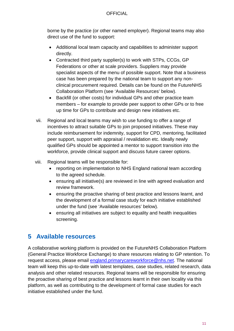borne by the practice (or other named employer). Regional teams may also direct use of the fund to support:

- Additional local team capacity and capabilities to administer support directly.
- Contracted third party supplier(s) to work with STPs, CCGs, GP Federations or other at scale providers. Suppliers may provide specialist aspects of the menu of possible support. Note that a business case has been prepared by the national team to support any nonclinical procurement required. Details can be found on the FutureNHS Collaboration Platform (see 'Available Resources' below).
- Backfill (or other costs) for individual GPs and other practice team members – for example to provide peer support to other GPs or to free up time for GPs to contribute and design new initiatives etc.
- vii. Regional and local teams may wish to use funding to offer a range of incentives to attract suitable GPs to join proposed initiatives. These may include reimbursement for indemnity, support for CPD, mentoring, facilitated peer support, support with appraisal / revalidation etc. Ideally newly qualified GPs should be appointed a mentor to support transition into the workforce, provide clinical support and discuss future career options.
- viii. Regional teams will be responsible for:
	- reporting on implementation to NHS England national team according to the agreed schedule.
	- ensuring all initiative(s) are reviewed in line with agreed evaluation and review framework.
	- ensuring the proactive sharing of best practice and lessons learnt, and the development of a formal case study for each initiative established under the fund (see 'Available resources' below).
	- ensuring all initiatives are subject to equality and health inequalities screening.

## <span id="page-10-0"></span>**5 Available resources**

A collaborative working platform is provided on the FutureNHS Collaboration Platform (General Practice Workforce Exchange) to share resources relating to GP retention. To request access, please email [england.primarycareworkforce@nhs.net.](mailto:england.primarycareworkforce@nhs.net) The national team will keep this up-to-date with latest templates, case studies, related research, data analysis and other related resources. Regional teams will be responsible for ensuring the proactive sharing of best practice and lessons learnt in their own locality via this platform, as well as contributing to the development of formal case studies for each initiative established under the fund.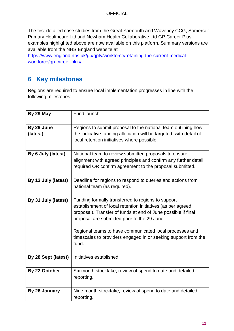The first detailed case studies from the Great Yarmouth and Waveney CCG, Somerset Primary Healthcare Ltd and Newham Health Collaborative Ltd GP Career Plus examples highlighted above are now available on this platform. Summary versions are available from the NHS England website at

[https://www.england.nhs.uk/gp/gpfv/workforce/retaining-the-current-medical](https://www.england.nhs.uk/gp/gpfv/workforce/retaining-the-current-medical-workforce/gp-career-plus/)[workforce/gp-career-plus/](https://www.england.nhs.uk/gp/gpfv/workforce/retaining-the-current-medical-workforce/gp-career-plus/)

## <span id="page-11-0"></span>**6 Key milestones**

Regions are required to ensure local implementation progresses in line with the following milestones:

| By 29 May              | Fund launch                                                                                                                                                                                                                                                                                                                                                              |
|------------------------|--------------------------------------------------------------------------------------------------------------------------------------------------------------------------------------------------------------------------------------------------------------------------------------------------------------------------------------------------------------------------|
| By 29 June<br>(latest) | Regions to submit proposal to the national team outlining how<br>the indicative funding allocation will be targeted, with detail of<br>local retention initiatives where possible.                                                                                                                                                                                       |
| By 6 July (latest)     | National team to review submitted proposals to ensure<br>alignment with agreed principles and confirm any further detail<br>required OR confirm agreement to the proposal submitted.                                                                                                                                                                                     |
| By 13 July (latest)    | Deadline for regions to respond to queries and actions from<br>national team (as required).                                                                                                                                                                                                                                                                              |
| By 31 July (latest)    | Funding formally transferred to regions to support<br>establishment of local retention initiatives (as per agreed<br>proposal). Transfer of funds at end of June possible if final<br>proposal are submitted prior to the 29 June.<br>Regional teams to have communicated local processes and<br>timescales to providers engaged in or seeking support from the<br>fund. |
| By 28 Sept (latest)    | Initiatives established.                                                                                                                                                                                                                                                                                                                                                 |
| By 22 October          | Six month stocktake, review of spend to date and detailed<br>reporting.                                                                                                                                                                                                                                                                                                  |
| By 28 January          | Nine month stocktake, review of spend to date and detailed<br>reporting.                                                                                                                                                                                                                                                                                                 |